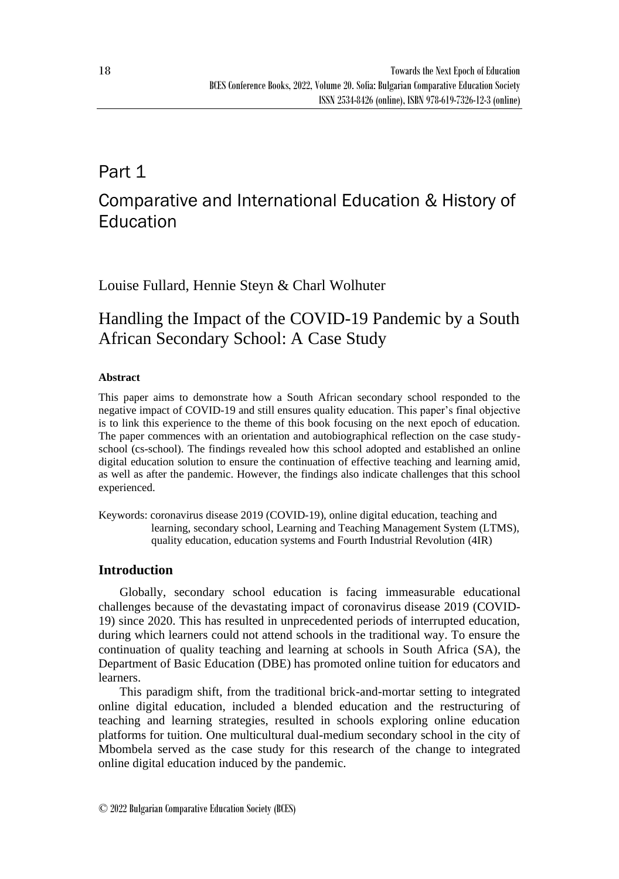## Part 1

# Comparative and International Education & History of Education

Louise Fullard, Hennie Steyn & Charl Wolhuter

## Handling the Impact of the COVID-19 Pandemic by a South African Secondary School: A Case Study

### **Abstract**

This paper aims to demonstrate how a South African secondary school responded to the negative impact of COVID-19 and still ensures quality education. This paper's final objective is to link this experience to the theme of this book focusing on the next epoch of education. The paper commences with an orientation and autobiographical reflection on the case studyschool (cs-school). The findings revealed how this school adopted and established an online digital education solution to ensure the continuation of effective teaching and learning amid, as well as after the pandemic. However, the findings also indicate challenges that this school experienced.

Keywords: coronavirus disease 2019 (COVID-19), online digital education, teaching and learning, secondary school, Learning and Teaching Management System (LTMS), quality education, education systems and Fourth Industrial Revolution (4IR)

## **Introduction**

Globally, secondary school education is facing immeasurable educational challenges because of the devastating impact of coronavirus disease 2019 (COVID-19) since 2020. This has resulted in unprecedented periods of interrupted education, during which learners could not attend schools in the traditional way. To ensure the continuation of quality teaching and learning at schools in South Africa (SA), the Department of Basic Education (DBE) has promoted online tuition for educators and learners.

This paradigm shift, from the traditional brick-and-mortar setting to integrated online digital education, included a blended education and the restructuring of teaching and learning strategies, resulted in schools exploring online education platforms for tuition. One multicultural dual-medium secondary school in the city of Mbombela served as the case study for this research of the change to integrated online digital education induced by the pandemic.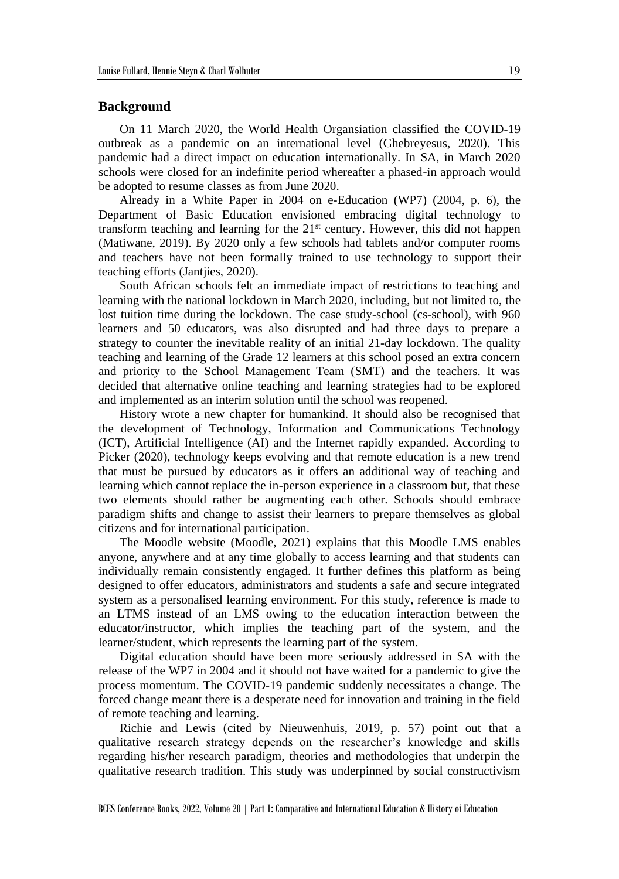#### **Background**

On 11 March 2020, the World Health Organsiation classified the COVID-19 outbreak as a pandemic on an international level (Ghebreyesus, 2020). This pandemic had a direct impact on education internationally. In SA, in March 2020 schools were closed for an indefinite period whereafter a phased-in approach would be adopted to resume classes as from June 2020.

Already in a White Paper in 2004 on e-Education (WP7) (2004, p. 6), the Department of Basic Education envisioned embracing digital technology to transform teaching and learning for the  $21<sup>st</sup>$  century. However, this did not happen (Matiwane, 2019). By 2020 only a few schools had tablets and/or computer rooms and teachers have not been formally trained to use technology to support their teaching efforts (Jantjies, 2020).

South African schools felt an immediate impact of restrictions to teaching and learning with the national lockdown in March 2020, including, but not limited to, the lost tuition time during the lockdown. The case study-school (cs-school), with 960 learners and 50 educators, was also disrupted and had three days to prepare a strategy to counter the inevitable reality of an initial 21-day lockdown. The quality teaching and learning of the Grade 12 learners at this school posed an extra concern and priority to the School Management Team (SMT) and the teachers. It was decided that alternative online teaching and learning strategies had to be explored and implemented as an interim solution until the school was reopened.

History wrote a new chapter for humankind. It should also be recognised that the development of Technology, Information and Communications Technology (ICT), Artificial Intelligence (AI) and the Internet rapidly expanded. According to Picker (2020), technology keeps evolving and that remote education is a new trend that must be pursued by educators as it offers an additional way of teaching and learning which cannot replace the in-person experience in a classroom but, that these two elements should rather be augmenting each other. Schools should embrace paradigm shifts and change to assist their learners to prepare themselves as global citizens and for international participation.

The Moodle website (Moodle, 2021) explains that this Moodle LMS enables anyone, anywhere and at any time globally to access learning and that students can individually remain consistently engaged. It further defines this platform as being designed to offer educators, administrators and students a safe and secure integrated system as a personalised learning environment. For this study, reference is made to an LTMS instead of an LMS owing to the education interaction between the educator/instructor, which implies the teaching part of the system, and the learner/student, which represents the learning part of the system.

Digital education should have been more seriously addressed in SA with the release of the WP7 in 2004 and it should not have waited for a pandemic to give the process momentum. The COVID-19 pandemic suddenly necessitates a change. The forced change meant there is a desperate need for innovation and training in the field of remote teaching and learning.

Richie and Lewis (cited by Nieuwenhuis, 2019, p. 57) point out that a qualitative research strategy depends on the researcher's knowledge and skills regarding his/her research paradigm, theories and methodologies that underpin the qualitative research tradition. This study was underpinned by social constructivism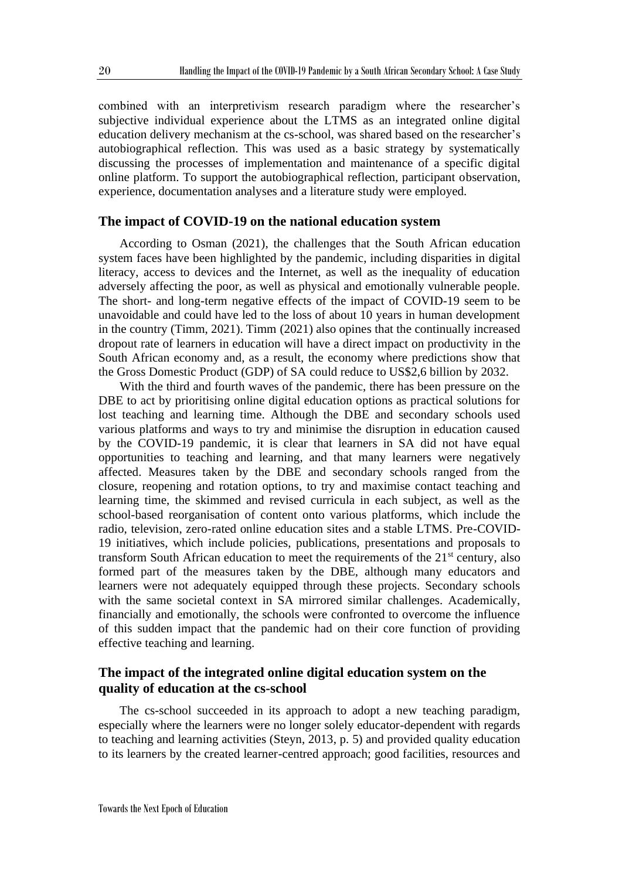combined with an interpretivism research paradigm where the researcher's subjective individual experience about the LTMS as an integrated online digital education delivery mechanism at the cs-school, was shared based on the researcher's autobiographical reflection. This was used as a basic strategy by systematically discussing the processes of implementation and maintenance of a specific digital online platform. To support the autobiographical reflection, participant observation, experience, documentation analyses and a literature study were employed.

#### **The impact of COVID-19 on the national education system**

According to Osman (2021), the challenges that the South African education system faces have been highlighted by the pandemic, including disparities in digital literacy, access to devices and the Internet, as well as the inequality of education adversely affecting the poor, as well as physical and emotionally vulnerable people. The short- and long-term negative effects of the impact of COVID-19 seem to be unavoidable and could have led to the loss of about 10 years in human development in the country (Timm, 2021). Timm (2021) also opines that the continually increased dropout rate of learners in education will have a direct impact on productivity in the South African economy and, as a result, the economy where predictions show that the Gross Domestic Product (GDP) of SA could reduce to US\$2,6 billion by 2032.

With the third and fourth waves of the pandemic, there has been pressure on the DBE to act by prioritising online digital education options as practical solutions for lost teaching and learning time. Although the DBE and secondary schools used various platforms and ways to try and minimise the disruption in education caused by the COVID-19 pandemic, it is clear that learners in SA did not have equal opportunities to teaching and learning, and that many learners were negatively affected. Measures taken by the DBE and secondary schools ranged from the closure, reopening and rotation options, to try and maximise contact teaching and learning time, the skimmed and revised curricula in each subject, as well as the school-based reorganisation of content onto various platforms, which include the radio, television, zero-rated online education sites and a stable LTMS. Pre-COVID-19 initiatives, which include policies, publications, presentations and proposals to transform South African education to meet the requirements of the  $21<sup>st</sup>$  century, also formed part of the measures taken by the DBE, although many educators and learners were not adequately equipped through these projects. Secondary schools with the same societal context in SA mirrored similar challenges. Academically, financially and emotionally, the schools were confronted to overcome the influence of this sudden impact that the pandemic had on their core function of providing effective teaching and learning.

## **The impact of the integrated online digital education system on the quality of education at the cs-school**

The cs-school succeeded in its approach to adopt a new teaching paradigm, especially where the learners were no longer solely educator-dependent with regards to teaching and learning activities (Steyn, 2013, p. 5) and provided quality education to its learners by the created learner-centred approach; good facilities, resources and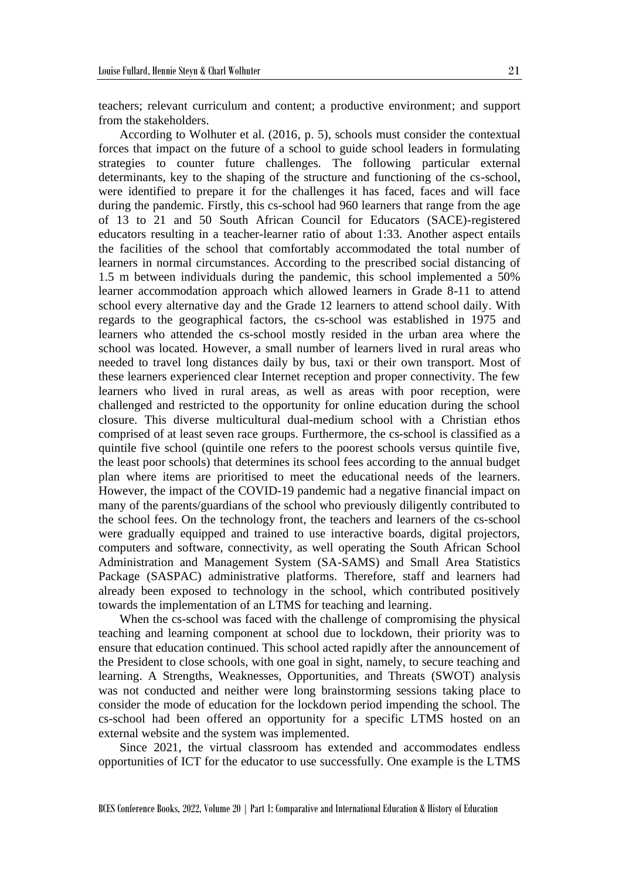teachers; relevant curriculum and content; a productive environment; and support from the stakeholders.

According to Wolhuter et al. (2016, p. 5), schools must consider the contextual forces that impact on the future of a school to guide school leaders in formulating strategies to counter future challenges. The following particular external determinants, key to the shaping of the structure and functioning of the cs-school, were identified to prepare it for the challenges it has faced, faces and will face during the pandemic. Firstly, this cs-school had 960 learners that range from the age of 13 to 21 and 50 South African Council for Educators (SACE)-registered educators resulting in a teacher-learner ratio of about 1:33. Another aspect entails the facilities of the school that comfortably accommodated the total number of learners in normal circumstances. According to the prescribed social distancing of 1.5 m between individuals during the pandemic, this school implemented a 50% learner accommodation approach which allowed learners in Grade 8-11 to attend school every alternative day and the Grade 12 learners to attend school daily. With regards to the geographical factors, the cs-school was established in 1975 and learners who attended the cs-school mostly resided in the urban area where the school was located. However, a small number of learners lived in rural areas who needed to travel long distances daily by bus, taxi or their own transport. Most of these learners experienced clear Internet reception and proper connectivity. The few learners who lived in rural areas, as well as areas with poor reception, were challenged and restricted to the opportunity for online education during the school closure. This diverse multicultural dual-medium school with a Christian ethos comprised of at least seven race groups. Furthermore, the cs-school is classified as a quintile five school (quintile one refers to the poorest schools versus quintile five, the least poor schools) that determines its school fees according to the annual budget plan where items are prioritised to meet the educational needs of the learners. However, the impact of the COVID-19 pandemic had a negative financial impact on many of the parents/guardians of the school who previously diligently contributed to the school fees. On the technology front, the teachers and learners of the cs-school were gradually equipped and trained to use interactive boards, digital projectors, computers and software, connectivity, as well operating the South African School Administration and Management System (SA-SAMS) and Small Area Statistics Package (SASPAC) administrative platforms. Therefore, staff and learners had already been exposed to technology in the school, which contributed positively towards the implementation of an LTMS for teaching and learning.

When the cs-school was faced with the challenge of compromising the physical teaching and learning component at school due to lockdown, their priority was to ensure that education continued. This school acted rapidly after the announcement of the President to close schools, with one goal in sight, namely, to secure teaching and learning. A Strengths, Weaknesses, Opportunities, and Threats (SWOT) analysis was not conducted and neither were long brainstorming sessions taking place to consider the mode of education for the lockdown period impending the school. The cs-school had been offered an opportunity for a specific LTMS hosted on an external website and the system was implemented.

Since 2021, the virtual classroom has extended and accommodates endless opportunities of ICT for the educator to use successfully. One example is the LTMS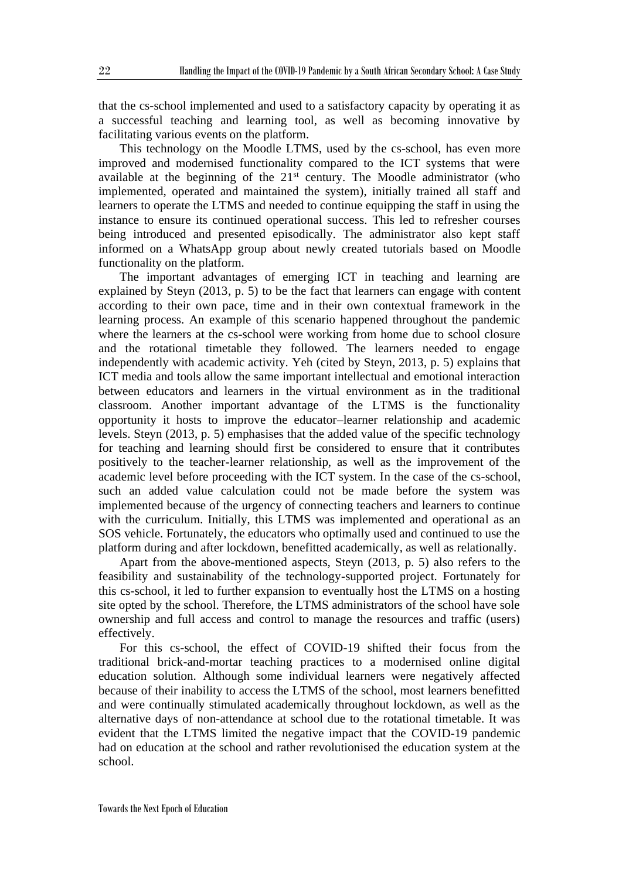that the cs-school implemented and used to a satisfactory capacity by operating it as a successful teaching and learning tool, as well as becoming innovative by facilitating various events on the platform.

This technology on the Moodle LTMS, used by the cs-school, has even more improved and modernised functionality compared to the ICT systems that were available at the beginning of the  $21<sup>st</sup>$  century. The Moodle administrator (who implemented, operated and maintained the system), initially trained all staff and learners to operate the LTMS and needed to continue equipping the staff in using the instance to ensure its continued operational success. This led to refresher courses being introduced and presented episodically. The administrator also kept staff informed on a WhatsApp group about newly created tutorials based on Moodle functionality on the platform.

The important advantages of emerging ICT in teaching and learning are explained by Steyn (2013, p. 5) to be the fact that learners can engage with content according to their own pace, time and in their own contextual framework in the learning process. An example of this scenario happened throughout the pandemic where the learners at the cs-school were working from home due to school closure and the rotational timetable they followed. The learners needed to engage independently with academic activity. Yeh (cited by Steyn, 2013, p. 5) explains that ICT media and tools allow the same important intellectual and emotional interaction between educators and learners in the virtual environment as in the traditional classroom. Another important advantage of the LTMS is the functionality opportunity it hosts to improve the educator–learner relationship and academic levels. Steyn (2013, p. 5) emphasises that the added value of the specific technology for teaching and learning should first be considered to ensure that it contributes positively to the teacher-learner relationship, as well as the improvement of the academic level before proceeding with the ICT system. In the case of the cs-school, such an added value calculation could not be made before the system was implemented because of the urgency of connecting teachers and learners to continue with the curriculum. Initially, this LTMS was implemented and operational as an SOS vehicle. Fortunately, the educators who optimally used and continued to use the platform during and after lockdown, benefitted academically, as well as relationally.

Apart from the above-mentioned aspects, Steyn (2013, p. 5) also refers to the feasibility and sustainability of the technology-supported project. Fortunately for this cs-school, it led to further expansion to eventually host the LTMS on a hosting site opted by the school. Therefore, the LTMS administrators of the school have sole ownership and full access and control to manage the resources and traffic (users) effectively.

For this cs-school, the effect of COVID-19 shifted their focus from the traditional brick-and-mortar teaching practices to a modernised online digital education solution. Although some individual learners were negatively affected because of their inability to access the LTMS of the school, most learners benefitted and were continually stimulated academically throughout lockdown, as well as the alternative days of non-attendance at school due to the rotational timetable. It was evident that the LTMS limited the negative impact that the COVID-19 pandemic had on education at the school and rather revolutionised the education system at the school.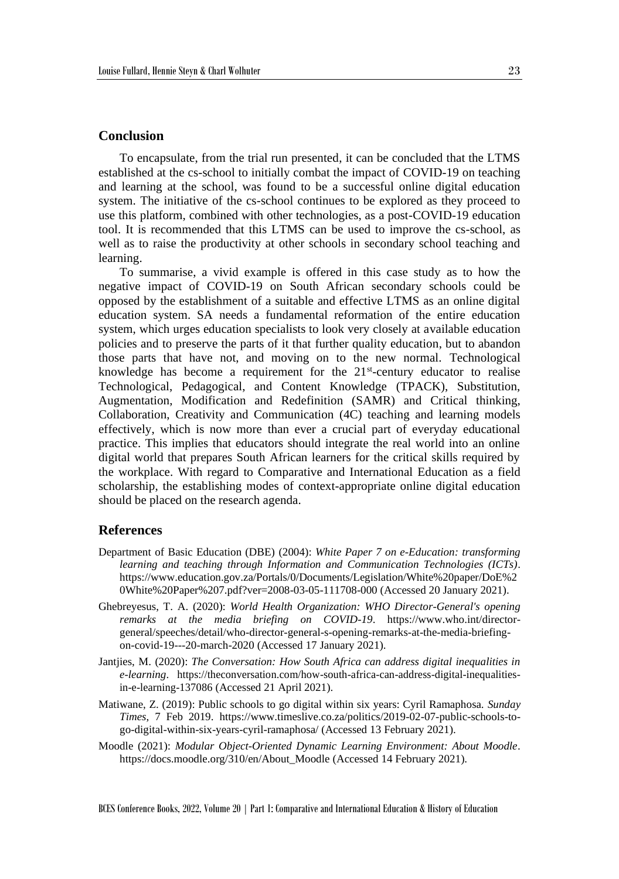### **Conclusion**

To encapsulate, from the trial run presented, it can be concluded that the LTMS established at the cs-school to initially combat the impact of COVID-19 on teaching and learning at the school, was found to be a successful online digital education system. The initiative of the cs-school continues to be explored as they proceed to use this platform, combined with other technologies, as a post-COVID-19 education tool. It is recommended that this LTMS can be used to improve the cs-school, as well as to raise the productivity at other schools in secondary school teaching and learning.

To summarise, a vivid example is offered in this case study as to how the negative impact of COVID-19 on South African secondary schools could be opposed by the establishment of a suitable and effective LTMS as an online digital education system. SA needs a fundamental reformation of the entire education system, which urges education specialists to look very closely at available education policies and to preserve the parts of it that further quality education, but to abandon those parts that have not, and moving on to the new normal. Technological knowledge has become a requirement for the  $21<sup>st</sup>$ -century educator to realise Technological, Pedagogical, and Content Knowledge (TPACK), Substitution, Augmentation, Modification and Redefinition (SAMR) and Critical thinking, Collaboration, Creativity and Communication (4C) teaching and learning models effectively, which is now more than ever a crucial part of everyday educational practice. This implies that educators should integrate the real world into an online digital world that prepares South African learners for the critical skills required by the workplace. With regard to Comparative and International Education as a field scholarship, the establishing modes of context-appropriate online digital education should be placed on the research agenda.

#### **References**

- Department of Basic Education (DBE) (2004): *White Paper 7 on e-Education: transforming learning and teaching through Information and Communication Technologies (ICTs)*. https://www.education.gov.za/Portals/0/Documents/Legislation/White%20paper/DoE%2 0White%20Paper%207.pdf?ver=2008-03-05-111708-000 (Accessed 20 January 2021).
- Ghebreyesus, T. A. (2020): *World Health Organization: WHO Director-General's opening remarks at the media briefing on COVID-19*. https://www.who.int/directorgeneral/speeches/detail/who-director-general-s-opening-remarks-at-the-media-briefingon-covid-19---20-march-2020 (Accessed 17 January 2021).
- Jantjies, M. (2020): *The Conversation: How South Africa can address digital inequalities in e-learning*. https://theconversation.com/how-south-africa-can-address-digital-inequalitiesin-e-learning-137086 (Accessed 21 April 2021).
- Matiwane, Z. (2019): Public schools to go digital within six years: Cyril Ramaphosa. *Sunday Times*, 7 Feb 2019. https://www.timeslive.co.za/politics/2019-02-07-public-schools-togo-digital-within-six-years-cyril-ramaphosa/ (Accessed 13 February 2021).
- Moodle (2021): *Modular Object-Oriented Dynamic Learning Environment: About Moodle*. https://docs.moodle.org/310/en/About\_Moodle (Accessed 14 February 2021).

BCES Conference Books, 2022, Volume 20 | Part 1: Comparative and International Education & History of Education